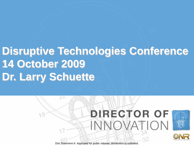# **Disruptive Technologies Conference 14 October 2009 Dr. Larry Schuette**

 $7.6$ 

# **DIRECTOR OF** INNOVATION

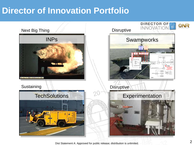## **Director of Innovation Portfolio**

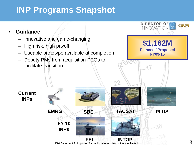## **INP Programs Snapshot**

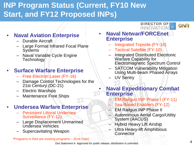## **INP Program Status (Current, FY10 New Start, and FY12 Proposed INPs)**

 $22 -$ 

## • **Naval Aviation Enterprise**

- Durable Aircraft
- Large Format Infrared Focal Plane **Systems**
- Naval Variable Cycle Engine **Technology**

## • **Surface Warfare Enterprise**

- Free Electron Laser (FY-16)
- Damage Control Technologies for the 21st Century (DC-21)
- Electric Warships
- Maintenance Free Ships

## • **Undersea Warfare Enterprise**

- Persistent Littoral Undersea Surveillance (FY-12)
- Large Displacement Unmanned Undersea Vehicles
- Supercavitating Weapon

### \*Programs in Red are existing programs – (End Date)

#### **DIRECTOR OF INNOVATION**



- **Naval Netwar/FORCEnet Enterprise**
	- Integrated Topside (FY-16)
	- Tactical Satellite (FY-10)
	- Integrated Distributed Electronic Warfare Capability for Electromagnetic Spectrum Control
	- SATCOM Vulnerability Mitigation Using Multi-beam Phased Arrays
	- UV Sentry

## • **Naval Expeditionary Combat Enterprise**

- EM Railgun INP Phase I (FY-11)
- Sea Based Enablers (FY-12)
- EM Railgun INP Phase II
- Autonomous Aerial Cargo/Utility System (AACUS)
- Hybrid Heavy Lift Airship
- Ultra Heavy-lift Amphibious **Connector**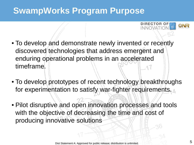## **SwampWorks Program Purpose**

- To develop and demonstrate newly invented or recently discovered technologies that address emergent and enduring operational problems in an accelerated timeframe.
- To develop prototypes of recent technology breakthroughs for experimentation to satisfy war-fighter requirements.
- Pilot disruptive and open innovation processes and tools with the objective of decreasing the time and cost of producing innovative solutions

ONR

**DIRECTOR**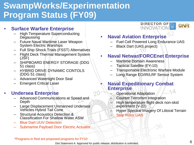## **SwampWorks/Experimentation Program Status (FY09)**

### • **Surface Warfare Enterprise**

- High Temperature Superconducting **Degaussing**
- Future Naval Maritime Laser Weapon System Electric Warships
- Full Ship Shock Trials (FSST) Alternatives
- Flight Deck Thermal Management System (JSF)
- SHIPBOARD ENERGY STORAGE (DDG 51 class)
- HYBRID DRIVE DYNAMIC CONTOLS (DDG 51 class)
- Advanced Watertight Door Seal
- **Emergent Critical Laser**

### • **Undersea Enterprise**

- Advanced Communications at Speed and Depth
- Large Displacement Unmanned Undersea Vehicles Hybrid Tail Cone
- Structural Acoustics Detection & Classification For Shallow Water ASW
- Blue Dart UUV Detection
- Submarine Payload Door Electric Actuator

#### **DIRECTOR OF** ONR INNOVATION

- **Naval Aviation Enterprise**
	- Fuel Cell Powered Long Endurance UAS
	- Black Dart (UAS project)
- **Naval Netwar/FORCEnet Enterprise**
	- Maritime Domain Awareness
	- Tactical Satellite (FY-10)
	- Transportable Electronic Warfare Module
	- Long Range EO/IR/LRF Sensor System

### • **Naval Expeditionary Combat Enterprise**

- Operational Adaptation
- Counter Terrorism Integration
- High temperature flight deck non-skid experiment (V-22)
- Hyper Spectral Imagery Of Littoral Terrain
- **Stop Rotor UAS**

\*Programs in Red are proposed programs for FY10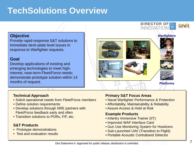## **TechSolutions Overview**

### **Objective**

Provide rapid-response S&T solutions to immediate deck-plate level issues in response to Warfighter requests.

### **Goal**

Develop applications of existing and emerging technologies to meet highinterest, near-term Fleet/Force needs; demonstrate prototype solution within 14 months of request.

#### **Technical Approach**

- Solicit operational needs from Fleet/Force members
- Define solution requirements
- Develop solutions through NRE partners with Fleet/Force feedback early and often
- Transition solutions to PORs, F/F, etc.

### **S&T Products**

- Prototype demonstrations
- Test and evaluation results

### **Primary S&T Focus Areas**

- Naval Warfighter Performance & Protection
- Affordability, Maintainability & Reliability
- Assure Access & Hold at Risk

#### **Example Products**

- Infantry Immersive Trainer (IIT)
- Improved WAF Interface Card
- Gun Use Monitoring System for Howitzers
- Sub-Launched UAV (Transition to Flight)
- Portable Acoustic Contraband Detector



**DIRECTOR OF** 

ONR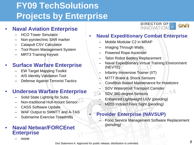## **FY09 TechSolutions Projects by Enterprise**

## • **Naval Aviation Enterprise**

- HCO Tower Simulator
- Non-pyrotechnic SAR marker
- Catapult CSV Calculator
- Tool Room Management System
- MRT3 Training Keyset

## • **Surface Warfare Enterprise**

- EW Target Mapping Toolkit
- AIS Identity Validation Tool
- Defense Against Terrorist Tactics

## • **Undersea Warfare Enterprise**

- Solid State Lighting for Subs
- Non-traditional Hull-mount Sensor
- CASS Software Update
- WAF Output to SMMTT and A-TAS
- Submarine Exercise Treadmills

### • **Naval Netwar/FORCEnet Enterprise**

#### – *none*

**DIRECTOR OF** ONR **INNOVAT** 

### • **Naval Expeditionary Combat Enterprise**

- Mobile Modular C2 in MRAP
- Imaging Through Walls
- Powered Rope Ascender
- Talon Robot Battery Replacement
- Naval Expeditionary Virtual Training Environment (NEVTE)
- Infantry Immersive Trainer (IIT)
- M777 Brake & Shock Sensors
- Condition-Based Maintenance for Howitzers
- SDV Waterproof Transport Canister
- SDV 360-degree Sensors
	- Enhanced Lightweight UUV *(pending)* – M203 Indirect Fires Sight *(pending)*

### • **Provider Enterprise (NAVSUP)**

– Food Service Management Software Replacement *(pending)*